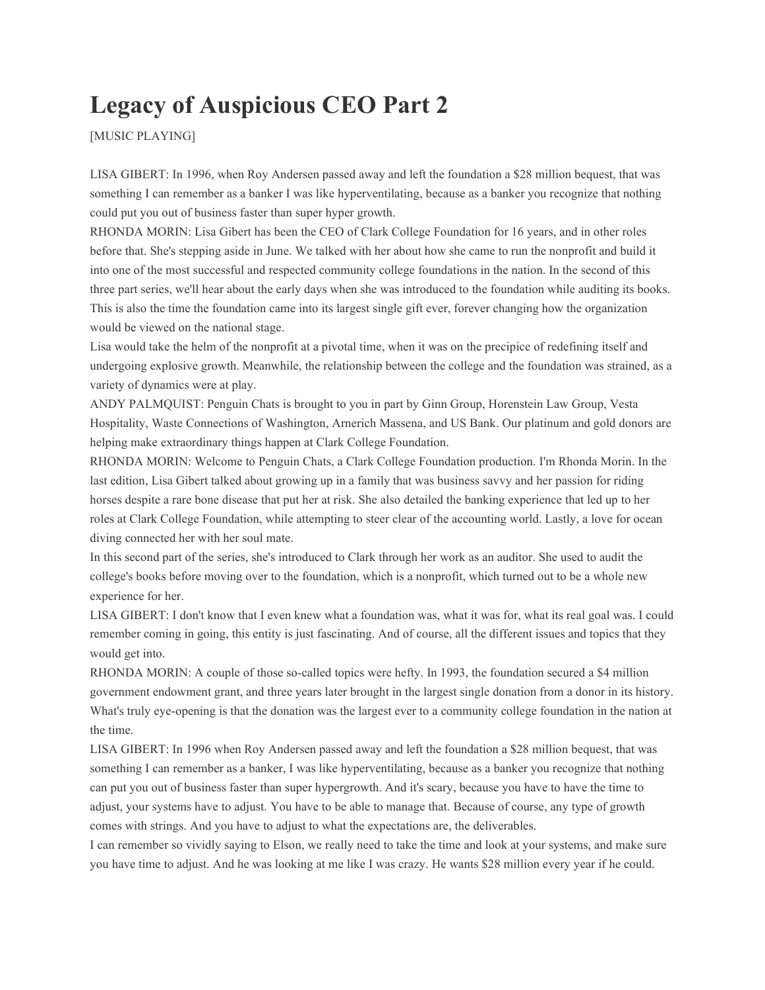## **Legacy of Auspicious CEO Part 2**

[MUSIC PLAYING]

LISA GIBERT: In 1996, when Roy Andersen passed away and left the foundation a \$28 million bequest, that was something I can remember as a banker I was like hyperventilating, because as a banker you recognize that nothing could put you out of business faster than super hyper growth.

RHONDA MORIN: Lisa Gibert has been the CEO of Clark College Foundation for 16 years, and in other roles before that. She's stepping aside in June. We talked with her about how she came to run the nonprofit and build it into one of the most successful and respected community college foundations in the nation. In the second of this three part series, we'll hear about the early days when she was introduced to the foundation while auditing its books. This is also the time the foundation came into its largest single gift ever, forever changing how the organization would be viewed on the national stage.

Lisa would take the helm of the nonprofit at a pivotal time, when it was on the precipice of redefining itself and undergoing explosive growth. Meanwhile, the relationship between the college and the foundation was strained, as a variety of dynamics were at play.

ANDY PALMQUIST: Penguin Chats is brought to you in part by Ginn Group, Horenstein Law Group, Vesta Hospitality, Waste Connections of Washington, Arnerich Massena, and US Bank. Our platinum and gold donors are helping make extraordinary things happen at Clark College Foundation.

RHONDA MORIN: Welcome to Penguin Chats, a Clark College Foundation production. I'm Rhonda Morin. In the last edition, Lisa Gibert talked about growing up in a family that was business savvy and her passion for riding horses despite a rare bone disease that put her at risk. She also detailed the banking experience that led up to her roles at Clark College Foundation, while attempting to steer clear of the accounting world. Lastly, a love for ocean diving connected her with her soul mate.

In this second part of the series, she's introduced to Clark through her work as an auditor. She used to audit the college's books before moving over to the foundation, which is a nonprofit, which turned out to be a whole new experience for her.

LISA GIBERT: I don't know that I even knew what a foundation was, what it was for, what its real goal was. I could remember coming in going, this entity is just fascinating. And of course, all the different issues and topics that they would get into.

RHONDA MORIN: A couple of those so-called topics were hefty. In 1993, the foundation secured a \$4 million government endowment grant, and three years later brought in the largest single donation from a donor in its history. What's truly eye-opening is that the donation was the largest ever to a community college foundation in the nation at the time.

LISA GIBERT: In 1996 when Roy Andersen passed away and left the foundation a \$28 million bequest, that was something I can remember as a banker, I was like hyperventilating, because as a banker you recognize that nothing can put you out of business faster than super hypergrowth. And it's scary, because you have to have the time to adjust, your systems have to adjust. You have to be able to manage that. Because of course, any type of growth comes with strings. And you have to adjust to what the expectations are, the deliverables.

I can remember so vividly saying to Elson, we really need to take the time and look at your systems, and make sure you have time to adjust. And he was looking at me like I was crazy. He wants \$28 million every year if he could.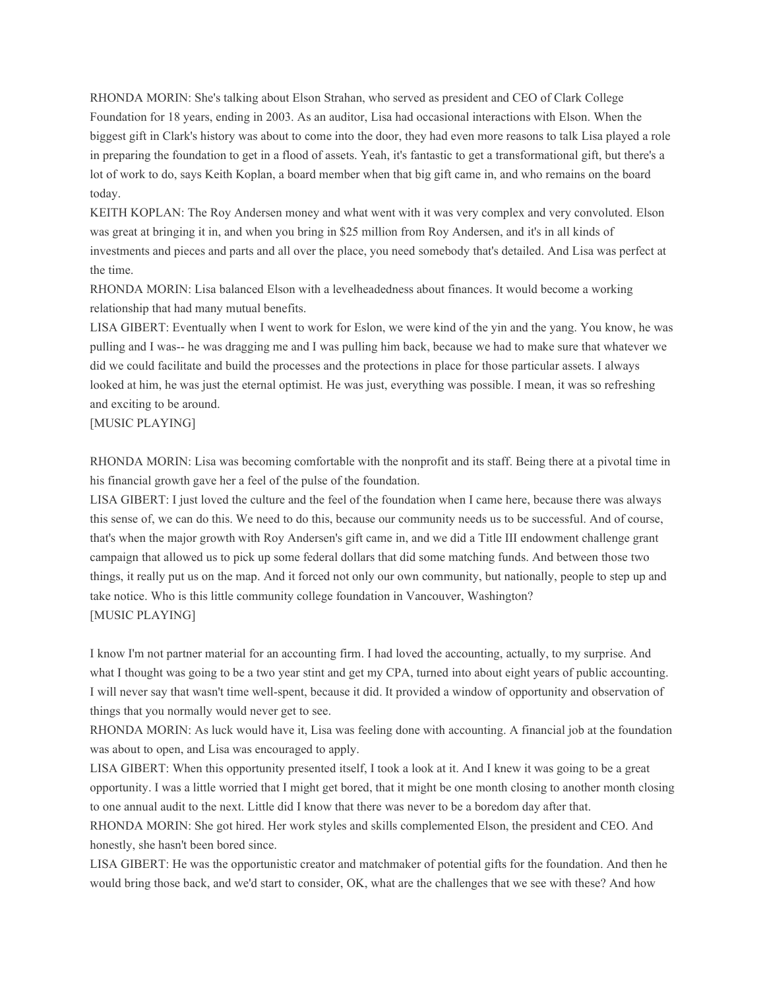RHONDA MORIN: She's talking about Elson Strahan, who served as president and CEO of Clark College Foundation for 18 years, ending in 2003. As an auditor, Lisa had occasional interactions with Elson. When the biggest gift in Clark's history was about to come into the door, they had even more reasons to talk Lisa played a role in preparing the foundation to get in a flood of assets. Yeah, it's fantastic to get a transformational gift, but there's a lot of work to do, says Keith Koplan, a board member when that big gift came in, and who remains on the board today.

KEITH KOPLAN: The Roy Andersen money and what went with it was very complex and very convoluted. Elson was great at bringing it in, and when you bring in \$25 million from Roy Andersen, and it's in all kinds of investments and pieces and parts and all over the place, you need somebody that's detailed. And Lisa was perfect at the time.

RHONDA MORIN: Lisa balanced Elson with a levelheadedness about finances. It would become a working relationship that had many mutual benefits.

LISA GIBERT: Eventually when I went to work for Eslon, we were kind of the yin and the yang. You know, he was pulling and I was-- he was dragging me and I was pulling him back, because we had to make sure that whatever we did we could facilitate and build the processes and the protections in place for those particular assets. I always looked at him, he was just the eternal optimist. He was just, everything was possible. I mean, it was so refreshing and exciting to be around.

[MUSIC PLAYING]

RHONDA MORIN: Lisa was becoming comfortable with the nonprofit and its staff. Being there at a pivotal time in his financial growth gave her a feel of the pulse of the foundation.

LISA GIBERT: I just loved the culture and the feel of the foundation when I came here, because there was always this sense of, we can do this. We need to do this, because our community needs us to be successful. And of course, that's when the major growth with Roy Andersen's gift came in, and we did a Title III endowment challenge grant campaign that allowed us to pick up some federal dollars that did some matching funds. And between those two things, it really put us on the map. And it forced not only our own community, but nationally, people to step up and take notice. Who is this little community college foundation in Vancouver, Washington? [MUSIC PLAYING]

I know I'm not partner material for an accounting firm. I had loved the accounting, actually, to my surprise. And what I thought was going to be a two year stint and get my CPA, turned into about eight years of public accounting. I will never say that wasn't time well-spent, because it did. It provided a window of opportunity and observation of things that you normally would never get to see.

RHONDA MORIN: As luck would have it, Lisa was feeling done with accounting. A financial job at the foundation was about to open, and Lisa was encouraged to apply.

LISA GIBERT: When this opportunity presented itself, I took a look at it. And I knew it was going to be a great opportunity. I was a little worried that I might get bored, that it might be one month closing to another month closing to one annual audit to the next. Little did I know that there was never to be a boredom day after that.

RHONDA MORIN: She got hired. Her work styles and skills complemented Elson, the president and CEO. And honestly, she hasn't been bored since.

LISA GIBERT: He was the opportunistic creator and matchmaker of potential gifts for the foundation. And then he would bring those back, and we'd start to consider, OK, what are the challenges that we see with these? And how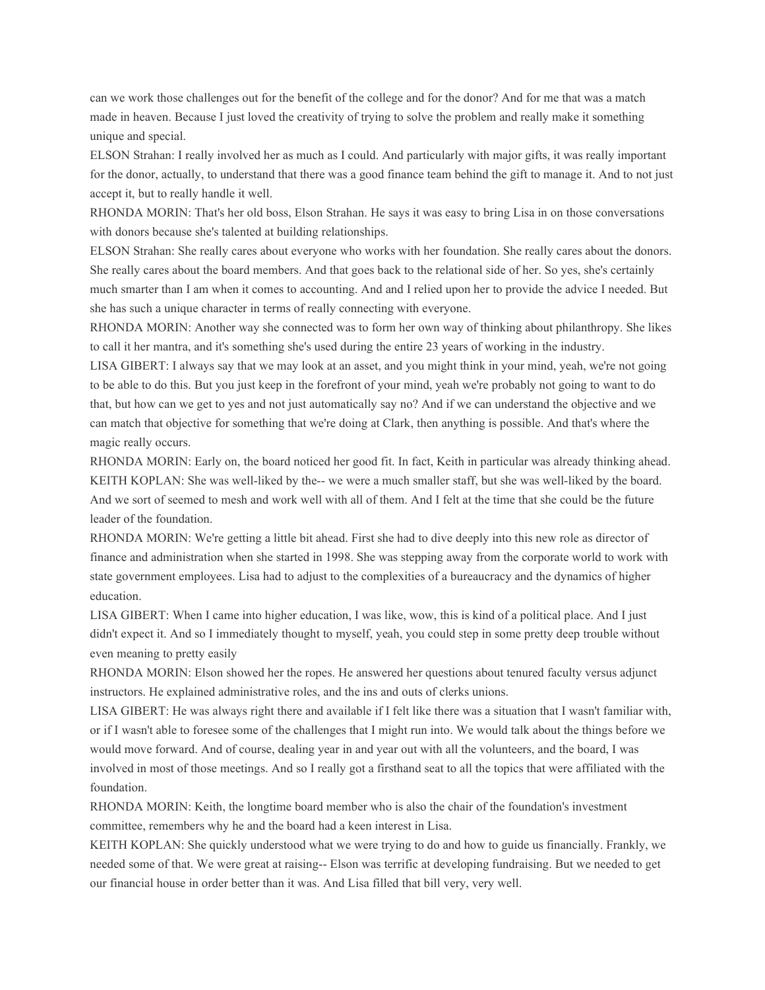can we work those challenges out for the benefit of the college and for the donor? And for me that was a match made in heaven. Because I just loved the creativity of trying to solve the problem and really make it something unique and special.

ELSON Strahan: I really involved her as much as I could. And particularly with major gifts, it was really important for the donor, actually, to understand that there was a good finance team behind the gift to manage it. And to not just accept it, but to really handle it well.

RHONDA MORIN: That's her old boss, Elson Strahan. He says it was easy to bring Lisa in on those conversations with donors because she's talented at building relationships.

ELSON Strahan: She really cares about everyone who works with her foundation. She really cares about the donors. She really cares about the board members. And that goes back to the relational side of her. So yes, she's certainly much smarter than I am when it comes to accounting. And and I relied upon her to provide the advice I needed. But she has such a unique character in terms of really connecting with everyone.

RHONDA MORIN: Another way she connected was to form her own way of thinking about philanthropy. She likes to call it her mantra, and it's something she's used during the entire 23 years of working in the industry.

LISA GIBERT: I always say that we may look at an asset, and you might think in your mind, yeah, we're not going to be able to do this. But you just keep in the forefront of your mind, yeah we're probably not going to want to do that, but how can we get to yes and not just automatically say no? And if we can understand the objective and we can match that objective for something that we're doing at Clark, then anything is possible. And that's where the magic really occurs.

RHONDA MORIN: Early on, the board noticed her good fit. In fact, Keith in particular was already thinking ahead. KEITH KOPLAN: She was well-liked by the-- we were a much smaller staff, but she was well-liked by the board. And we sort of seemed to mesh and work well with all of them. And I felt at the time that she could be the future leader of the foundation.

RHONDA MORIN: We're getting a little bit ahead. First she had to dive deeply into this new role as director of finance and administration when she started in 1998. She was stepping away from the corporate world to work with state government employees. Lisa had to adjust to the complexities of a bureaucracy and the dynamics of higher education.

LISA GIBERT: When I came into higher education, I was like, wow, this is kind of a political place. And I just didn't expect it. And so I immediately thought to myself, yeah, you could step in some pretty deep trouble without even meaning to pretty easily

RHONDA MORIN: Elson showed her the ropes. He answered her questions about tenured faculty versus adjunct instructors. He explained administrative roles, and the ins and outs of clerks unions.

LISA GIBERT: He was always right there and available if I felt like there was a situation that I wasn't familiar with, or if I wasn't able to foresee some of the challenges that I might run into. We would talk about the things before we would move forward. And of course, dealing year in and year out with all the volunteers, and the board, I was involved in most of those meetings. And so I really got a firsthand seat to all the topics that were affiliated with the foundation.

RHONDA MORIN: Keith, the longtime board member who is also the chair of the foundation's investment committee, remembers why he and the board had a keen interest in Lisa.

KEITH KOPLAN: She quickly understood what we were trying to do and how to guide us financially. Frankly, we needed some of that. We were great at raising-- Elson was terrific at developing fundraising. But we needed to get our financial house in order better than it was. And Lisa filled that bill very, very well.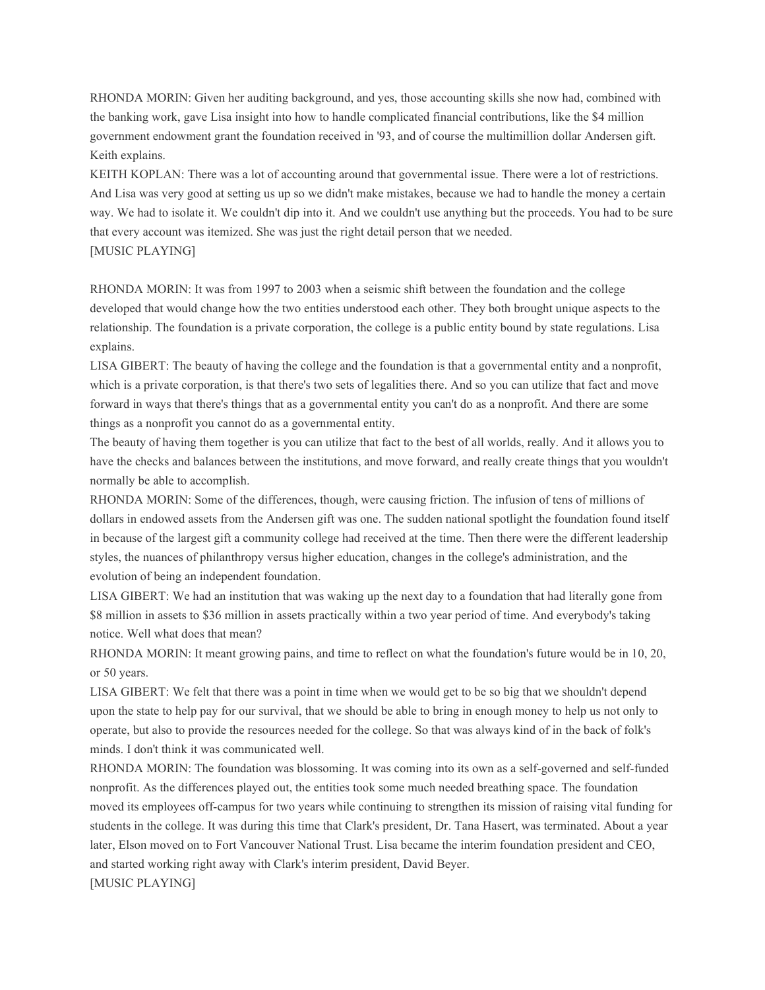RHONDA MORIN: Given her auditing background, and yes, those accounting skills she now had, combined with the banking work, gave Lisa insight into how to handle complicated financial contributions, like the \$4 million government endowment grant the foundation received in '93, and of course the multimillion dollar Andersen gift. Keith explains.

KEITH KOPLAN: There was a lot of accounting around that governmental issue. There were a lot of restrictions. And Lisa was very good at setting us up so we didn't make mistakes, because we had to handle the money a certain way. We had to isolate it. We couldn't dip into it. And we couldn't use anything but the proceeds. You had to be sure that every account was itemized. She was just the right detail person that we needed. [MUSIC PLAYING]

RHONDA MORIN: It was from 1997 to 2003 when a seismic shift between the foundation and the college developed that would change how the two entities understood each other. They both brought unique aspects to the relationship. The foundation is a private corporation, the college is a public entity bound by state regulations. Lisa explains.

LISA GIBERT: The beauty of having the college and the foundation is that a governmental entity and a nonprofit, which is a private corporation, is that there's two sets of legalities there. And so you can utilize that fact and move forward in ways that there's things that as a governmental entity you can't do as a nonprofit. And there are some things as a nonprofit you cannot do as a governmental entity.

The beauty of having them together is you can utilize that fact to the best of all worlds, really. And it allows you to have the checks and balances between the institutions, and move forward, and really create things that you wouldn't normally be able to accomplish.

RHONDA MORIN: Some of the differences, though, were causing friction. The infusion of tens of millions of dollars in endowed assets from the Andersen gift was one. The sudden national spotlight the foundation found itself in because of the largest gift a community college had received at the time. Then there were the different leadership styles, the nuances of philanthropy versus higher education, changes in the college's administration, and the evolution of being an independent foundation.

LISA GIBERT: We had an institution that was waking up the next day to a foundation that had literally gone from \$8 million in assets to \$36 million in assets practically within a two year period of time. And everybody's taking notice. Well what does that mean?

RHONDA MORIN: It meant growing pains, and time to reflect on what the foundation's future would be in 10, 20, or 50 years.

LISA GIBERT: We felt that there was a point in time when we would get to be so big that we shouldn't depend upon the state to help pay for our survival, that we should be able to bring in enough money to help us not only to operate, but also to provide the resources needed for the college. So that was always kind of in the back of folk's minds. I don't think it was communicated well.

RHONDA MORIN: The foundation was blossoming. It was coming into its own as a self-governed and self-funded nonprofit. As the differences played out, the entities took some much needed breathing space. The foundation moved its employees off-campus for two years while continuing to strengthen its mission of raising vital funding for students in the college. It was during this time that Clark's president, Dr. Tana Hasert, was terminated. About a year later, Elson moved on to Fort Vancouver National Trust. Lisa became the interim foundation president and CEO, and started working right away with Clark's interim president, David Beyer. [MUSIC PLAYING]